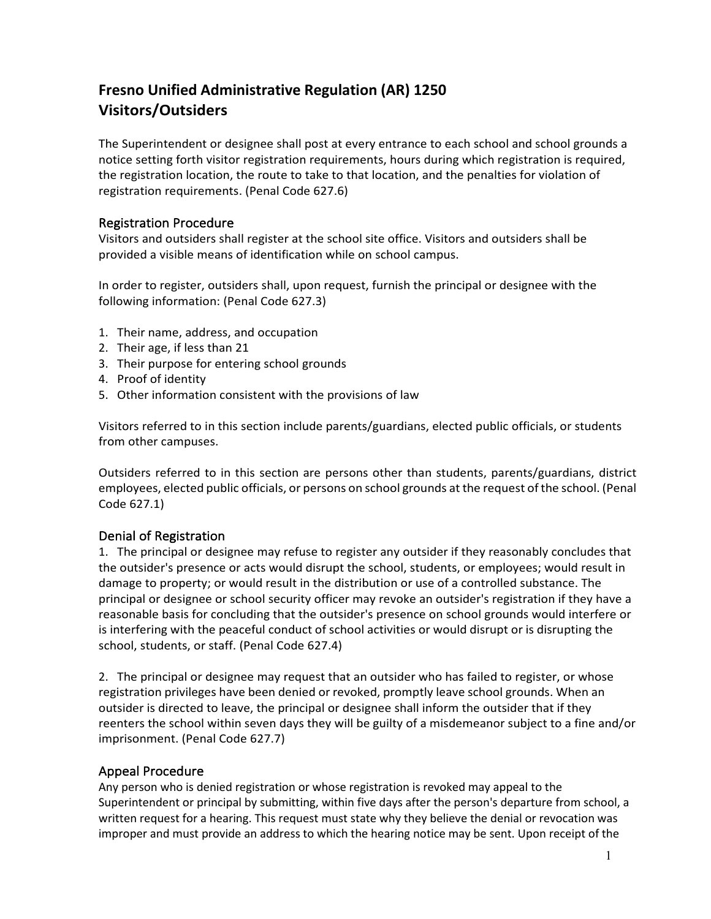## **Fresno Unified Administrative Regulation (AR) 1250 Visitors/Outsiders**

The Superintendent or designee shall post at every entrance to each school and school grounds a notice setting forth visitor registration requirements, hours during which registration is required, the registration location, the route to take to that location, and the penalties for violation of registration requirements. (Penal Code 627.6)

## Registration Procedure

Visitors and outsiders shall register at the school site office. Visitors and outsiders shall be provided a visible means of identification while on school campus.

In order to register, outsiders shall, upon request, furnish the principal or designee with the following information: (Penal Code 627.3)

- 1. Their name, address, and occupation
- 2. Their age, if less than 21
- 3. Their purpose for entering school grounds
- 4. Proof of identity
- 5. Other information consistent with the provisions of law

Visitors referred to in this section include parents/guardians, elected public officials, or students from other campuses.

Outsiders referred to in this section are persons other than students, parents/guardians, district employees, elected public officials, or persons on school grounds at the request of the school. (Penal Code 627.1)

## Denial of Registration

1. The principal or designee may refuse to register any outsider if they reasonably concludes that the outsider's presence or acts would disrupt the school, students, or employees; would result in damage to property; or would result in the distribution or use of a controlled substance. The principal or designee or school security officer may revoke an outsider's registration if they have a reasonable basis for concluding that the outsider's presence on school grounds would interfere or is interfering with the peaceful conduct of school activities or would disrupt or is disrupting the school, students, or staff. (Penal Code 627.4)

2. The principal or designee may request that an outsider who has failed to register, or whose registration privileges have been denied or revoked, promptly leave school grounds. When an outsider is directed to leave, the principal or designee shall inform the outsider that if they reenters the school within seven days they will be guilty of a misdemeanor subject to a fine and/or imprisonment. (Penal Code 627.7)

## Appeal Procedure

Any person who is denied registration or whose registration is revoked may appeal to the Superintendent or principal by submitting, within five days after the person's departure from school, a written request for a hearing. This request must state why they believe the denial or revocation was improper and must provide an address to which the hearing notice may be sent. Upon receipt of the